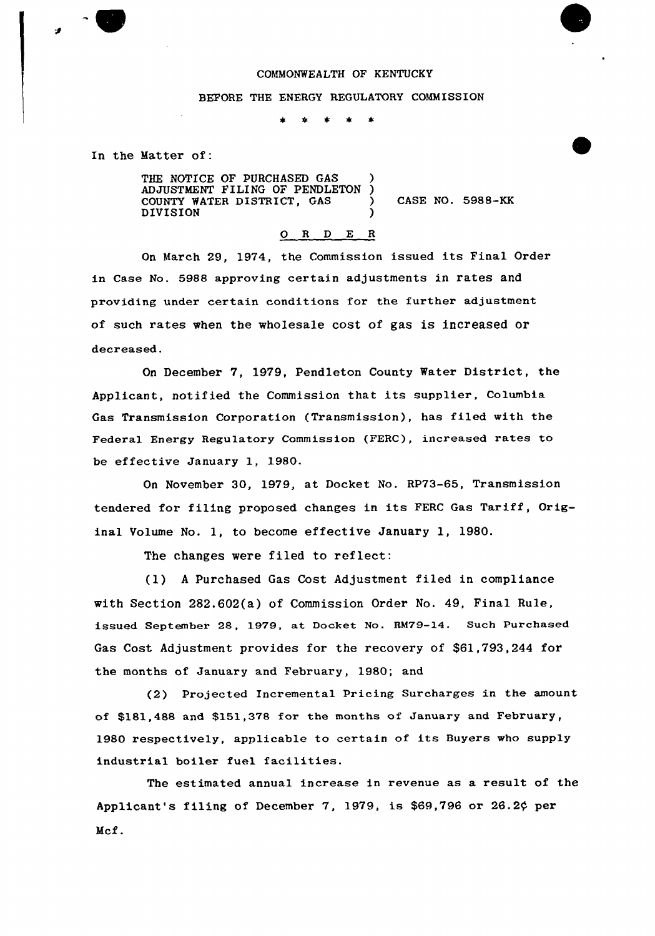#### COMMONWEALTH OF KENTUCKY

#### BEFORE THE ENERGY REGULATORY COMMISSION

 $\star$  $\bullet$ – sk

In the Matter of:

THE NOTICE OF PURCHASED GAS ADJUSTMENT FILING OF PENDLETON ) COUNTY WATER DISTRICT, GAS  $\qquad$  ) CASE NO. 5988-KK **DIVISION** 

0 <sup>R</sup> <sup>D</sup> E <sup>R</sup> On March 29, 1974, the Commission issued its Final Order in Case No. 5988 approving certain adjustments in rates and

providing under certain conditions for the further adjustment of such rates when the wholesale cost of gas is increased or decreased.

On December 7, 1979, Pendleton County Water District, the Applicant, notified the Commission that its supplier, Columbia Gas Transmission Corporation (Transmission), has filed with the Federal Energy Regulatory Commission (FERC), increased rates to be effective January 1, 1980.

On November 30, 1979, at Docket No. RP73-65, Transmission tendered for filing proposed changes in its FERC Gas Tariff, Original Uolume No. 1, to become effective January 1, 1980.

The changes were filed to reflect:

(1) <sup>A</sup> Purchased Gas Cost Adjustment filed in compliance with Section 282.602(a) of Commission Order No. 49, Final Rule, issued September 28, 1979, at Docket No. RM79-14. Such Purchased Gas Cost Adjustment provides for the recovery of \$61,793,244 for the months of January and February, 1980; and

(2) Projected Incremental Pricing Surcharges in the amount of \$181,488 and \$151,378 for the months of January and February, 1980 respectively, applicable to certain of its Buyers who supply industrial boiler fuel facilities.

The estimated annual increase in revenue as a result of the Applicant's filing of December 7, 1979, is \$69,796 or 26.2 $\phi$  per Mcf.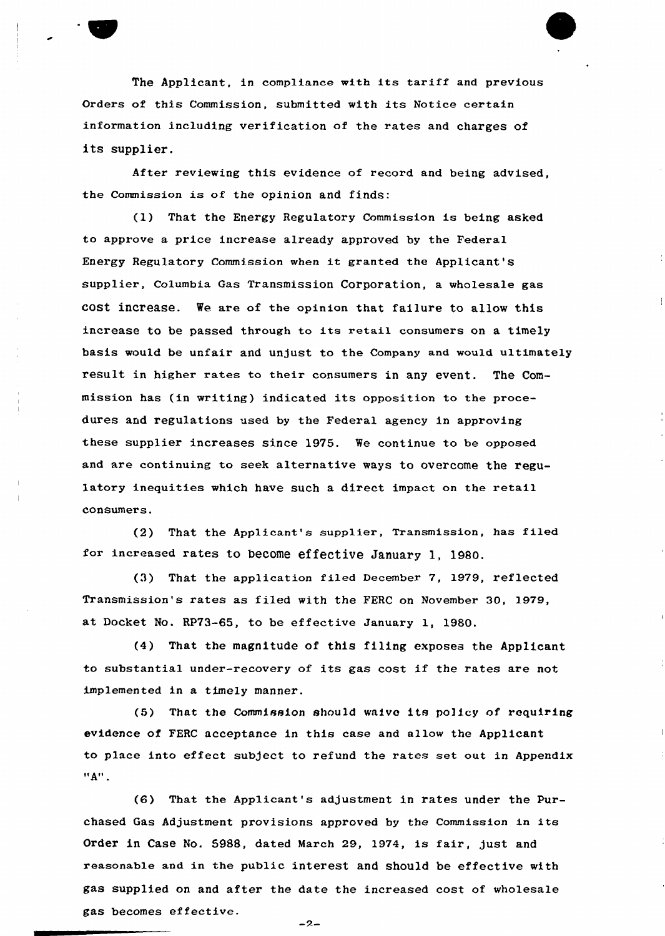

The Applicant, in compliance with its tariff and previous Orders of this Commission, submitted with its Notice certain information including verification of the rates and charges of its supplier.

After reviewing this evidence of record and being advised, the Commission is of the opinion and finds:

(1) That the Energy Regulatory Commission is being asked to approve a price increase already approved by the Federal Energy Regulatory Commission when it granted the Applicant's supplier, Columbia, Gas Transmission Corporation, a wholesale gas cost increase. We are of the opinion that failure to allow this increase to be passed through to its retail consumers on a timely basis would be unfair and unjust to the Company and would ultimately result in higher rates to their consumers in any event. The Commission has (in writing) indicated its opposition to the procedures and regulations used by the Federal agency in approving these supplier increases since 1975. We continue to be opposed and are continuing to seek alternative ways to overcome the regu-1atory inequities which have such a direct impact on the retail consumers.

(2) That the Applicant's supplier, Transmission, has filed for increased rates to become effective January 1, 1980.

(3) That the application filed December 7, 1979, reflected Transmission's rates as filed with the FERC on November 30, 1979, at Docket No. RP73-65, to be effective January 1, 1980.

(4) That the magnitude of this filing exposes the Applicant to substantial under-recovery of its gas cost if the rates are not implemented in a timely manner.

(5) That the Commission should waive its policy of requiring evidence of FERC acceptance in this case and allow the Applicant to place into effect subject to refund the rates set out in Appendix  $"A"$ .

(6) That the Applicant's adjustment in rates under the purchased Gas Adjustment provisions approved by the Commission in its Order in Case No. 5988, dated March 29, 1974, is fair, just and reasonable and in the public interest and should be effective with gas supplied on and after the date the increased cost of wholesale gas becomes effective.

 $-2-$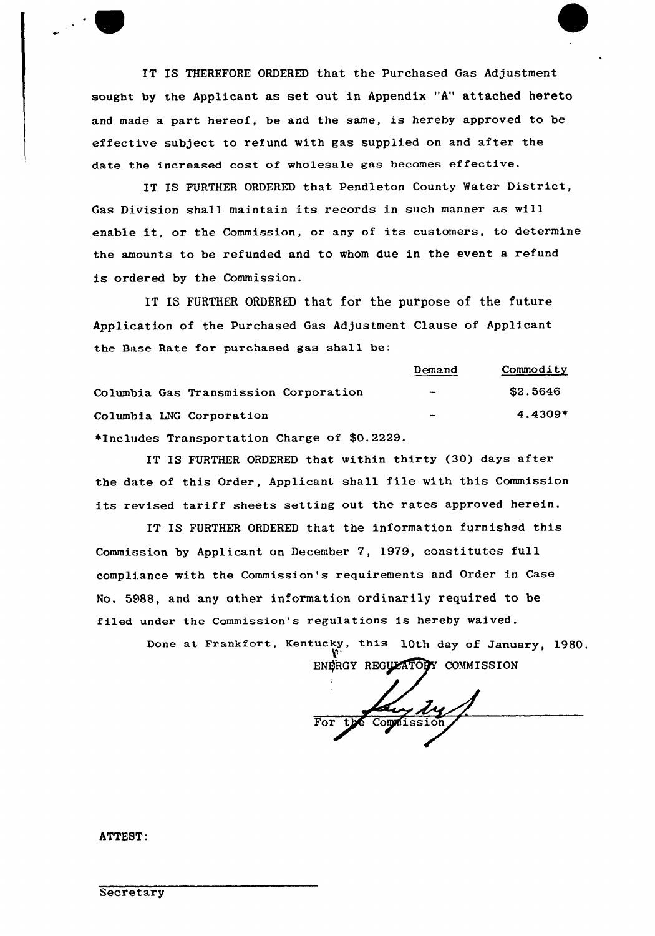IT IS THEREFORE ORDERED that the Purchased Gas Adjustment sought by the Applicant as set out in Appendix "A" attached hereto and made a part hereof, be and the same, is hereby approved to be effective subject to refund with gas supplied on and after the date the increased cost of wholesale gas becomes effective.

IT IS FURTHER ORDERED that Pendleton County Water District, Gas Division shall maintain its records in such manner as will enable it, or the Commission, or any of its customers, to determine the amounts to be refunded and to whom due in the event a refund is ordered by the Commission.

IT IS FURTHER ORDERED that for the purpose of the future Application of the Purchased Gas Adjustment Clause of Applicant the Base Rate for purchased gas shall be:

Columbia Gas Transmission Corporation Columbia LNG Corporation Demand Commodity \$2.5646 4.4309+ +Includes Transportation Charge of \$0.2229.

IT IS FURTHER ORDERED that within thirty (30) days after the date of this Order, Applicant shall file with this Commission its revised tariff sheets setting out the rates approved herein.

IT IS FURTHER ORDERED that the information furnished this Commission by Applicant on December 7, 1979, constitutes full compliance with the Commission's requirements and Order in Case No. 5988, and any other information ordinarily required to be filed under the Commission's regulations is hereby waived.

> Done at Frankfort, Kentucky, this 10th day of January, 1980. ENERGY REGULATORY COMMISSION

Lay Ly For t

ATTEST: